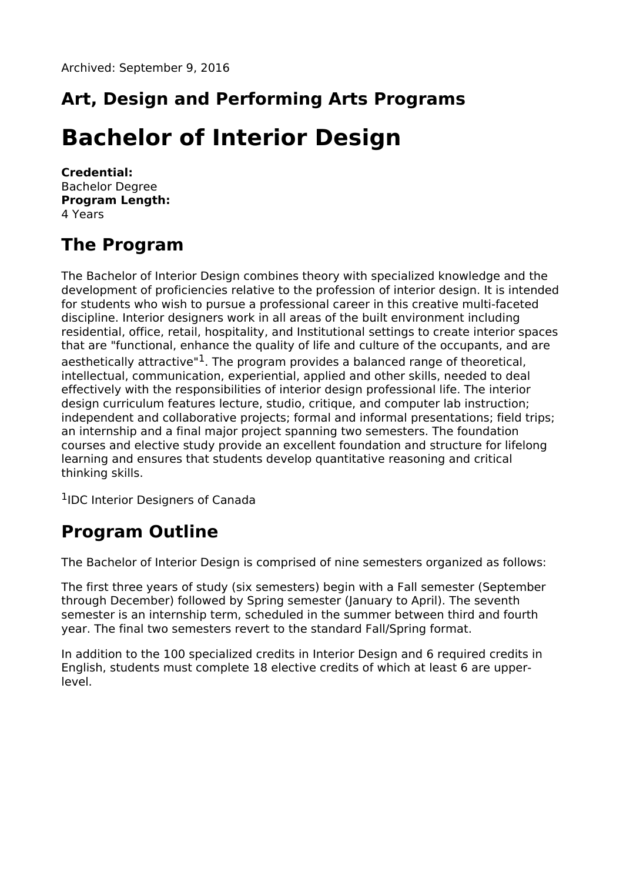## **Art, Design and Performing Arts Programs**

# **Bachelor of Interior Design**

**Credential:** Bachelor Degree **Program Length:** 4 Years

### **The Program**

The Bachelor of Interior Design combines theory with specialized knowledge and the development of proficiencies relative to the profession of interior design. It is intended for students who wish to pursue a professional career in this creative multi-faceted discipline. Interior designers work in all areas of the built environment including residential, office, retail, hospitality, and Institutional settings to create interior spaces that are "functional, enhance the quality of life and culture of the occupants, and are aesthetically attractive"<sup>1</sup>. The program provides a balanced range of theoretical, intellectual, communication, experiential, applied and other skills, needed to deal effectively with the responsibilities of interior design professional life. The interior design curriculum features lecture, studio, critique, and computer lab instruction; independent and collaborative projects; formal and informal presentations; field trips; an internship and a final major project spanning two semesters. The foundation courses and elective study provide an excellent foundation and structure for lifelong learning and ensures that students develop quantitative reasoning and critical thinking skills.

<sup>1</sup>IDC Interior Designers of Canada

#### **Program Outline**

The Bachelor of Interior Design is comprised of nine semesters organized as follows:

The first three years of study (six semesters) begin with a Fall semester (September through December) followed by Spring semester (January to April). The seventh semester is an internship term, scheduled in the summer between third and fourth year. The final two semesters revert to the standard Fall/Spring format.

In addition to the 100 specialized credits in Interior Design and 6 required credits in English, students must complete 18 elective credits of which at least 6 are upperlevel.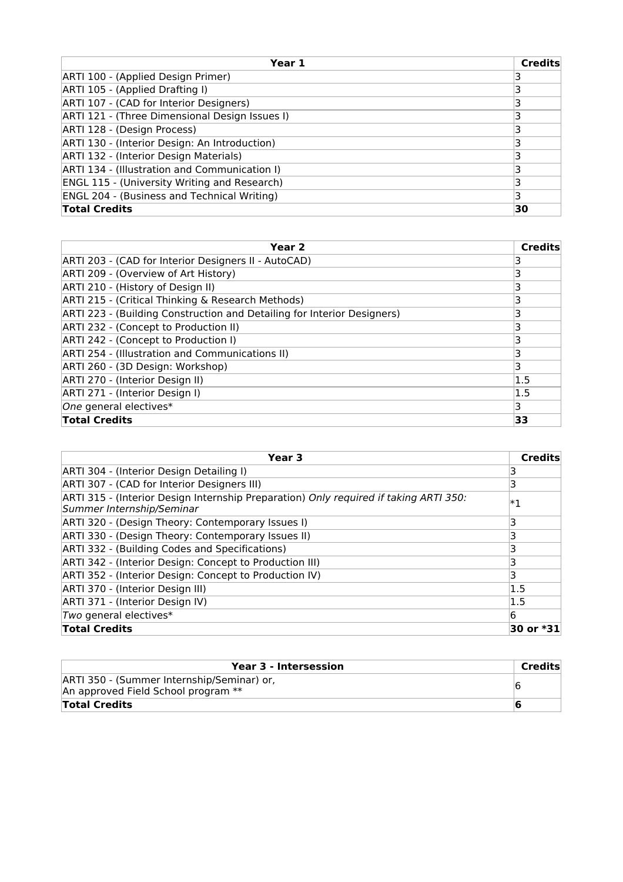| Year 1                                              | <b>Credits</b> |
|-----------------------------------------------------|----------------|
| ARTI 100 - (Applied Design Primer)                  |                |
| ARTI 105 - (Applied Drafting I)                     |                |
| ARTI 107 - (CAD for Interior Designers)             |                |
| ARTI 121 - (Three Dimensional Design Issues I)      |                |
| ARTI 128 - (Design Process)                         |                |
| ARTI 130 - (Interior Design: An Introduction)       |                |
| ARTI 132 - (Interior Design Materials)              |                |
| ARTI 134 - (Illustration and Communication I)       |                |
| <b>ENGL 115 - (University Writing and Research)</b> | 3              |
| <b>ENGL 204 - (Business and Technical Writing)</b>  | 3              |
| <b>Total Credits</b>                                | 30             |

| Year 2                                                                  | <b>Credits</b> |
|-------------------------------------------------------------------------|----------------|
| ARTI 203 - (CAD for Interior Designers II - AutoCAD)                    |                |
| ARTI 209 - (Overview of Art History)                                    |                |
| ARTI 210 - (History of Design II)                                       | 3              |
| ARTI 215 - (Critical Thinking & Research Methods)                       | 3              |
| ARTI 223 - (Building Construction and Detailing for Interior Designers) | 3              |
| ARTI 232 - (Concept to Production II)                                   | 3              |
| ARTI 242 - (Concept to Production I)                                    |                |
| ARTI 254 - (Illustration and Communications II)                         | 3              |
| ARTI 260 - (3D Design: Workshop)                                        | 3              |
| ARTI 270 - (Interior Design II)                                         | 1.5            |
| ARTI 271 - (Interior Design I)                                          | 1.5            |
| One general electives*                                                  | 3              |
| <b>Total Credits</b>                                                    | 33             |

| Year 3                                                                                                             | Credits   |
|--------------------------------------------------------------------------------------------------------------------|-----------|
| ARTI 304 - (Interior Design Detailing I)                                                                           |           |
| ARTI 307 - (CAD for Interior Designers III)                                                                        | 3         |
| ARTI 315 - (Interior Design Internship Preparation) Only required if taking ARTI 350:<br>Summer Internship/Seminar | $ *_1$    |
| ARTI 320 - (Design Theory: Contemporary Issues I)                                                                  | 3         |
| ARTI 330 - (Design Theory: Contemporary Issues II)                                                                 |           |
| ARTI 332 - (Building Codes and Specifications)                                                                     | 3         |
| ARTI 342 - (Interior Design: Concept to Production III)                                                            |           |
| ARTI 352 - (Interior Design: Concept to Production IV)                                                             | 3         |
| ARTI 370 - (Interior Design III)                                                                                   | 1.5       |
| ARTI 371 - (Interior Design IV)                                                                                    | 1.5       |
| Two general electives*                                                                                             | 6         |
| <b>Total Credits</b>                                                                                               | 30 or *31 |

| Year 3 - Intersession                                                             | Credits |
|-----------------------------------------------------------------------------------|---------|
| ARTI 350 - (Summer Internship/Seminar) or,<br>An approved Field School program ** |         |
| <b>Total Credits</b>                                                              |         |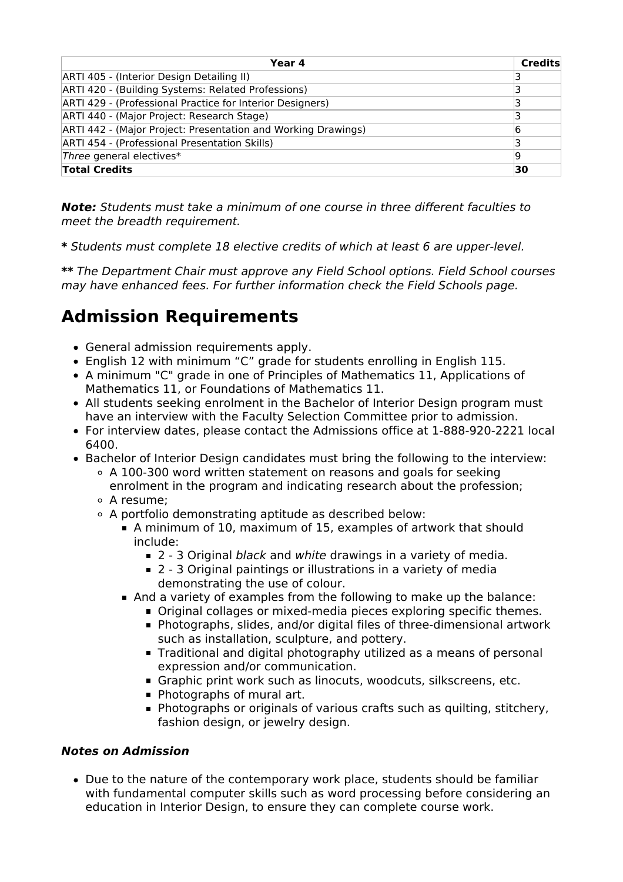| Year 4                                                        | <b>Credits</b> |
|---------------------------------------------------------------|----------------|
| ARTI 405 - (Interior Design Detailing II)                     |                |
| ARTI 420 - (Building Systems: Related Professions)            |                |
| ARTI 429 - (Professional Practice for Interior Designers)     |                |
| ARTI 440 - (Major Project: Research Stage)                    |                |
| ARTI 442 - (Major Project: Presentation and Working Drawings) | 6              |
| ARTI 454 - (Professional Presentation Skills)                 |                |
| Three general electives*                                      | 19             |
| <b>Total Credits</b>                                          | 30             |

**Note:** Students must take a minimum of one course in three different faculties to meet the breadth requirement.

**\*** Students must complete 18 elective credits of which at least 6 are upper-level.

**\*\*** The Department Chair must approve any Field School options. Field School courses may have enhanced fees. For further information check the Field Schools page.

### **Admission Requirements**

- General admission requirements apply.
- English 12 with minimum "C" grade for students enrolling in English 115.
- A minimum "C" grade in one of Principles of Mathematics 11, Applications of Mathematics 11, or Foundations of Mathematics 11.
- All students seeking enrolment in the Bachelor of Interior Design program must have an interview with the Faculty Selection Committee prior to admission.
- For interview dates, please contact the Admissions office at 1-888-920-2221 local 6400.
- Bachelor of Interior Design candidates must bring the following to the interview:
	- $\circ$  A 100-300 word written statement on reasons and goals for seeking enrolment in the program and indicating research about the profession;
	- A resume;
	- A portfolio demonstrating aptitude as described below:
		- A minimum of 10, maximum of 15, examples of artwork that should include:
			- 2 3 Original black and white drawings in a variety of media.
			- 2 3 Original paintings or illustrations in a variety of media demonstrating the use of colour.
		- And a variety of examples from the following to make up the balance:
			- Original collages or mixed-media pieces exploring specific themes.
				- Photographs, slides, and/or digital files of three-dimensional artwork such as installation, sculpture, and pottery.
				- **Traditional and digital photography utilized as a means of personal** expression and/or communication.
				- Graphic print work such as linocuts, woodcuts, silkscreens, etc.
				- **Photographs of mural art.**
				- **Photographs or originals of various crafts such as quilting, stitchery,** fashion design, or jewelry design.

#### **Notes on Admission**

Due to the nature of the contemporary work place, students should be familiar with fundamental computer skills such as word processing before considering an education in Interior Design, to ensure they can complete course work.